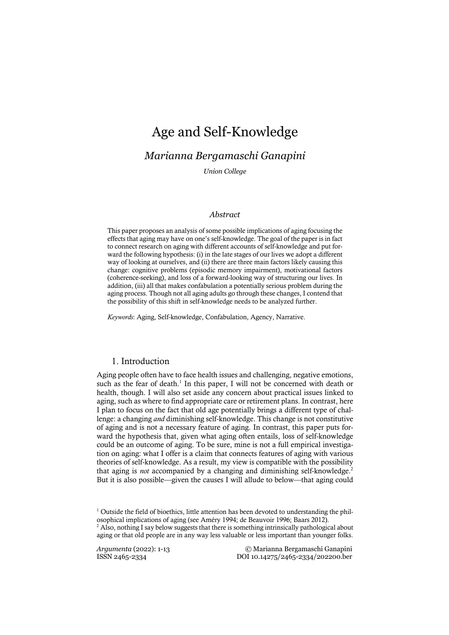## *Marianna Bergamaschi Ganapini*

*Union College*

## *Abstract*

This paper proposes an analysis of some possible implications of aging focusing the effects that aging may have on one's self-knowledge. The goal of the paper is in fact to connect research on aging with different accounts of self-knowledge and put forward the following hypothesis: (i) in the late stages of our lives we adopt a different way of looking at ourselves, and (ii) there are three main factors likely causing this change: cognitive problems (episodic memory impairment), motivational factors (coherence-seeking), and loss of a forward-looking way of structuring our lives. In addition, (iii) all that makes confabulation a potentially serious problem during the aging process. Though not all aging adults go through these changes, I contend that the possibility of this shift in self-knowledge needs to be analyzed further.

*Keywords*: Aging, Self-knowledge, Confabulation, Agency, Narrative.

## 1. Introduction

Aging people often have to face health issues and challenging, negative emotions, such as the fear of death.<sup>1</sup> In this paper, I will not be concerned with death or health, though. I will also set aside any concern about practical issues linked to aging, such as where to find appropriate care or retirement plans. In contrast, here I plan to focus on the fact that old age potentially brings a different type of challenge: a changing *and* diminishing self-knowledge. This change is not constitutive of aging and is not a necessary feature of aging. In contrast, this paper puts forward the hypothesis that, given what aging often entails, loss of self-knowledge could be an outcome of aging. To be sure, mine is not a full empirical investigation on aging: what I offer is a claim that connects features of aging with various theories of self-knowledge. As a result, my view is compatible with the possibility that aging is *not* accompanied by a changing and diminishing self-knowledge.<sup>2</sup> But it is also possible—given the causes I will allude to below—that aging could

 $1$  Outside the field of bioethics, little attention has been devoted to understanding the philosophical implications of aging (see Améry 1994; de Beauvoir 1996; Baars 2012).

 $<sup>2</sup>$  Also, nothing I say below suggests that there is something intrinsically pathological about</sup> aging or that old people are in any way less valuable or less important than younger folks.

*Argumenta* (2022): 1-13 © Marianna Bergamaschi Ganapini ISSN 2465-2334 DOI 10.14275/2465-2334/202200.ber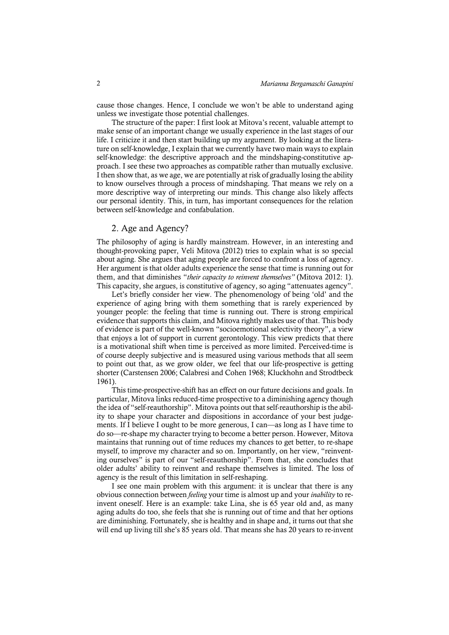cause those changes. Hence, I conclude we won't be able to understand aging unless we investigate those potential challenges.

The structure of the paper: I first look at Mitova's recent, valuable attempt to make sense of an important change we usually experience in the last stages of our life. I criticize it and then start building up my argument. By looking at the literature on self-knowledge, I explain that we currently have two main ways to explain self-knowledge: the descriptive approach and the mindshaping-constitutive approach. I see these two approaches as compatible rather than mutually exclusive. I then show that, as we age, we are potentially at risk of gradually losing the ability to know ourselves through a process of mindshaping. That means we rely on a more descriptive way of interpreting our minds. This change also likely affects our personal identity. This, in turn, has important consequences for the relation between self-knowledge and confabulation.

## 2. Age and Agency?

The philosophy of aging is hardly mainstream. However, in an interesting and thought-provoking paper, Veli Mitova (2012) tries to explain what is so special about aging. She argues that aging people are forced to confront a loss of agency. Her argument is that older adults experience the sense that time is running out for them, and that diminishes "*their capacity to reinvent themselves"* (Mitova 2012: 1). This capacity, she argues, is constitutive of agency, so aging "attenuates agency".

Let's briefly consider her view. The phenomenology of being 'old' and the experience of aging bring with them something that is rarely experienced by younger people: the feeling that time is running out. There is strong empirical evidence that supports this claim, and Mitova rightly makes use of that. This body of evidence is part of the well-known "socioemotional selectivity theory", a view that enjoys a lot of support in current gerontology. This view predicts that there is a motivational shift when time is perceived as more limited. Perceived-time is of course deeply subjective and is measured using various methods that all seem to point out that, as we grow older, we feel that our life-prospective is getting shorter (Carstensen 2006; Calabresi and Cohen 1968; Kluckhohn and Strodtbeck 1961).

This time-prospective-shift has an effect on our future decisions and goals. In particular, Mitova links reduced-time prospective to a diminishing agency though the idea of "self-reauthorship". Mitova points out that self-reauthorship is the ability to shape your character and dispositions in accordance of your best judgements. If I believe I ought to be more generous, I can—as long as I have time to do so—re-shape my character trying to become a better person. However, Mitova maintains that running out of time reduces my chances to get better, to re-shape myself, to improve my character and so on. Importantly, on her view, "reinventing ourselves" is part of our "self-reauthorship". From that, she concludes that older adults' ability to reinvent and reshape themselves is limited. The loss of agency is the result of this limitation in self-reshaping.

I see one main problem with this argument: it is unclear that there is any obvious connection between *feeling* your time is almost up and your *inability* to reinvent oneself. Here is an example: take Lina, she is 65 year old and, as many aging adults do too, she feels that she is running out of time and that her options are diminishing. Fortunately, she is healthy and in shape and, it turns out that she will end up living till she's 85 years old. That means she has 20 years to re-invent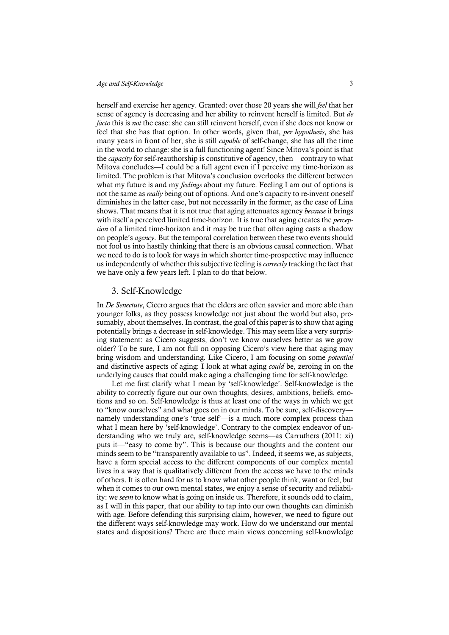herself and exercise her agency. Granted: over those 20 years she will *feel* that her sense of agency is decreasing and her ability to reinvent herself is limited. But *de facto* this is *not* the case: she can still reinvent herself, even if she does not know or feel that she has that option. In other words, given that, *per hypothesis*, she has many years in front of her, she is still *capable* of self-change, she has all the time in the world to change: she is a full functioning agent! Since Mitova's point is that the *capacity* for self-reauthorship is constitutive of agency, then—contrary to what Mitova concludes—I could be a full agent even if I perceive my time-horizon as limited. The problem is that Mitova's conclusion overlooks the different between what my future is and my *feelings* about my future. Feeling I am out of options is not the same as *really* being out of options. And one's capacity to re-invent oneself diminishes in the latter case, but not necessarily in the former, as the case of Lina shows. That means that it is not true that aging attenuates agency *because* it brings with itself a perceived limited time-horizon. It is true that aging creates the *perception* of a limited time-horizon and it may be true that often aging casts a shadow on people's *agency*. But the temporal correlation between these two events should not fool us into hastily thinking that there is an obvious causal connection. What we need to do is to look for ways in which shorter time-prospective may influence us independently of whether this subjective feeling is *correctly* tracking the fact that we have only a few years left. I plan to do that below.

## 3. Self-Knowledge

In *De Senectute*, Cicero argues that the elders are often savvier and more able than younger folks, as they possess knowledge not just about the world but also, presumably, about themselves. In contrast, the goal of this paper is to show that aging potentially brings a decrease in self-knowledge. This may seem like a very surprising statement: as Cicero suggests, don't we know ourselves better as we grow older? To be sure, I am not full on opposing Cicero's view here that aging may bring wisdom and understanding. Like Cicero, I am focusing on some *potential* and distinctive aspects of aging: I look at what aging *could* be, zeroing in on the underlying causes that could make aging a challenging time for self-knowledge.

Let me first clarify what I mean by 'self-knowledge'. Self-knowledge is the ability to correctly figure out our own thoughts, desires, ambitions, beliefs, emotions and so on. Self-knowledge is thus at least one of the ways in which we get to "know ourselves" and what goes on in our minds. To be sure, self-discovery namely understanding one's 'true self'—is a much more complex process than what I mean here by 'self-knowledge'. Contrary to the complex endeavor of understanding who we truly are, self-knowledge seems—as Carruthers (2011: xi) puts it—"easy to come by". This is because our thoughts and the content our minds seem to be "transparently available to us". Indeed, it seems we, as subjects, have a form special access to the different components of our complex mental lives in a way that is qualitatively different from the access we have to the minds of others. It is often hard for us to know what other people think, want or feel, but when it comes to our own mental states, we enjoy a sense of security and reliability: we *seem* to know what is going on inside us. Therefore, it sounds odd to claim, as I will in this paper, that our ability to tap into our own thoughts can diminish with age. Before defending this surprising claim, however, we need to figure out the different ways self-knowledge may work. How do we understand our mental states and dispositions? There are three main views concerning self-knowledge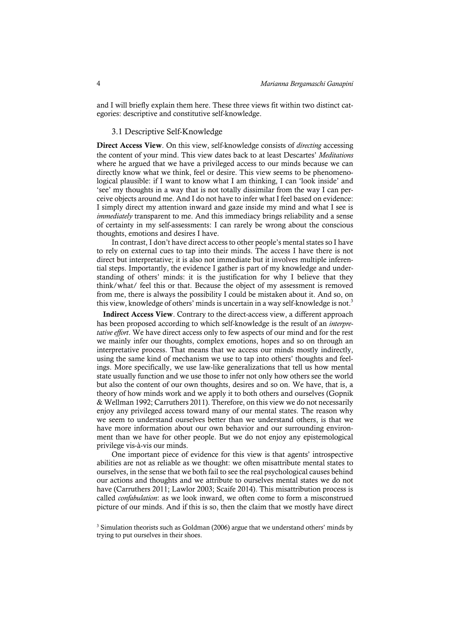and I will briefly explain them here. These three views fit within two distinct categories: descriptive and constitutive self-knowledge.

## 3.1 Descriptive Self-Knowledge

Direct Access View. On this view, self-knowledge consists of *directing* accessing the content of your mind. This view dates back to at least Descartes' *Meditations* where he argued that we have a privileged access to our minds because we can directly know what we think, feel or desire. This view seems to be phenomenological plausible: if I want to know what I am thinking, I can 'look inside' and 'see' my thoughts in a way that is not totally dissimilar from the way I can perceive objects around me. And I do not have to infer what I feel based on evidence: I simply direct my attention inward and gaze inside my mind and what I see is *immediately* transparent to me. And this immediacy brings reliability and a sense of certainty in my self-assessments: I can rarely be wrong about the conscious thoughts, emotions and desires I have.

In contrast, I don't have direct access to other people's mental states so I have to rely on external cues to tap into their minds. The access I have there is not direct but interpretative; it is also not immediate but it involves multiple inferential steps. Importantly, the evidence I gather is part of my knowledge and understanding of others' minds: it is the justification for why I believe that they think/what/ feel this or that. Because the object of my assessment is removed from me, there is always the possibility I could be mistaken about it. And so, on this view, knowledge of others' minds is uncertain in a way self-knowledge is not.<sup>3</sup>

Indirect Access View. Contrary to the direct-access view, a different approach has been proposed according to which self-knowledge is the result of an *interpretative effort*. We have direct access only to few aspects of our mind and for the rest we mainly infer our thoughts, complex emotions, hopes and so on through an interpretative process. That means that we access our minds mostly indirectly, using the same kind of mechanism we use to tap into others' thoughts and feelings. More specifically, we use law-like generalizations that tell us how mental state usually function and we use those to infer not only how others see the world but also the content of our own thoughts, desires and so on. We have, that is, a theory of how minds work and we apply it to both others and ourselves (Gopnik & Wellman 1992; Carruthers 2011). Therefore, on this view we do not necessarily enjoy any privileged access toward many of our mental states. The reason why we seem to understand ourselves better than we understand others, is that we have more information about our own behavior and our surrounding environment than we have for other people. But we do not enjoy any epistemological privilege vis-à-vis our minds.

One important piece of evidence for this view is that agents' introspective abilities are not as reliable as we thought: we often misattribute mental states to ourselves, in the sense that we both fail to see the real psychological causes behind our actions and thoughts and we attribute to ourselves mental states we do not have (Carruthers 2011; Lawlor 2003; Scaife 2014). This misattribution process is called *confabulation*: as we look inward, we often come to form a misconstrued picture of our minds. And if this is so, then the claim that we mostly have direct

<sup>&</sup>lt;sup>3</sup> Simulation theorists such as Goldman (2006) argue that we understand others' minds by trying to put ourselves in their shoes.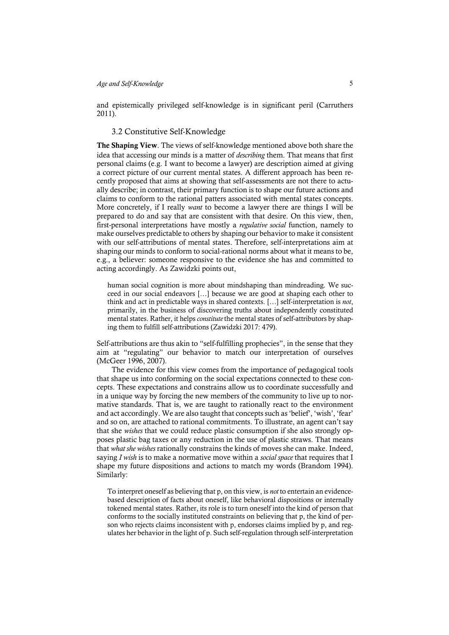and epistemically privileged self-knowledge is in significant peril (Carruthers 2011).

## 3.2 Constitutive Self-Knowledge

The Shaping View. The views of self-knowledge mentioned above both share the idea that accessing our minds is a matter of *describing* them. That means that first personal claims (e.g. I want to become a lawyer) are description aimed at giving a correct picture of our current mental states. A different approach has been recently proposed that aims at showing that self-assessments are not there to actually describe; in contrast, their primary function is to shape our future actions and claims to conform to the rational patters associated with mental states concepts. More concretely, if I really *want* to become a lawyer there are things I will be prepared to do and say that are consistent with that desire. On this view, then, first-personal interpretations have mostly a *regulative social* function, namely to make ourselves predictable to others by shaping our behavior to make it consistent with our self-attributions of mental states. Therefore, self-interpretations aim at shaping our minds to conform to social-rational norms about what it means to be, e.g., a believer: someone responsive to the evidence she has and committed to acting accordingly. As Zawidzki points out,

human social cognition is more about mindshaping than mindreading. We succeed in our social endeavors […] because we are good at shaping each other to think and act in predictable ways in shared contexts. […] self-interpretation is *not*, primarily, in the business of discovering truths about independently constituted mental states. Rather, it helps *constitute* the mental states of self-attributors by shaping them to fulfill self-attributions (Zawidzki 2017: 479).

Self-attributions are thus akin to "self-fulfilling prophecies", in the sense that they aim at "regulating" our behavior to match our interpretation of ourselves (McGeer 1996, 2007).

The evidence for this view comes from the importance of pedagogical tools that shape us into conforming on the social expectations connected to these concepts. These expectations and constrains allow us to coordinate successfully and in a unique way by forcing the new members of the community to live up to normative standards. That is, we are taught to rationally react to the environment and act accordingly. We are also taught that concepts such as 'belief', 'wish', 'fear' and so on, are attached to rational commitments. To illustrate, an agent can't say that she *wishes* that we could reduce plastic consumption if she also strongly opposes plastic bag taxes or any reduction in the use of plastic straws. That means that *what she wishes* rationally constrains the kinds of moves she can make. Indeed, saying *I wish* is to make a normative move within a *social space* that requires that I shape my future dispositions and actions to match my words (Brandom 1994). Similarly:

To interpret oneself as believing that p, on this view, is *not* to entertain an evidencebased description of facts about oneself, like behavioral dispositions or internally tokened mental states. Rather, its role is to turn oneself into the kind of person that conforms to the socially instituted constraints on believing that p, the kind of person who rejects claims inconsistent with p, endorses claims implied by p, and regulates her behavior in the light of p. Such self-regulation through self-interpretation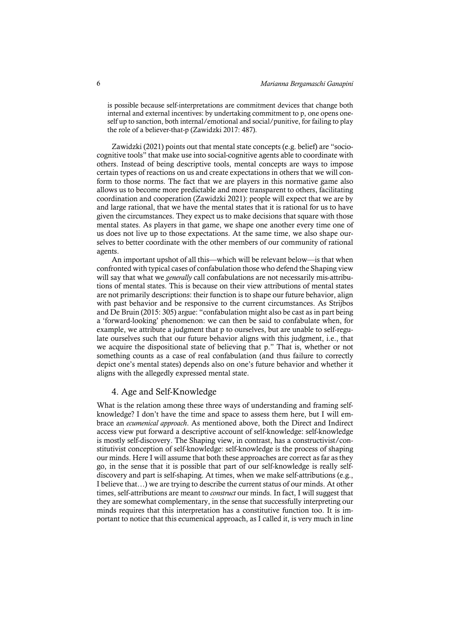is possible because self-interpretations are commitment devices that change both internal and external incentives: by undertaking commitment to p, one opens oneself up to sanction, both internal/emotional and social/punitive, for failing to play the role of a believer-that-p (Zawidzki 2017: 487).

Zawidzki (2021) points out that mental state concepts (e.g. belief) are "sociocognitive tools" that make use into social-cognitive agents able to coordinate with others. Instead of being descriptive tools, mental concepts are ways to impose certain types of reactions on us and create expectations in others that we will conform to those norms. The fact that we are players in this normative game also allows us to become more predictable and more transparent to others, facilitating coordination and cooperation (Zawidzki 2021): people will expect that we are by and large rational, that we have the mental states that it is rational for us to have given the circumstances. They expect us to make decisions that square with those mental states. As players in that game, we shape one another every time one of us does not live up to those expectations. At the same time, we also shape ourselves to better coordinate with the other members of our community of rational agents.

An important upshot of all this—which will be relevant below—is that when confronted with typical cases of confabulation those who defend the Shaping view will say that what we *generally* call confabulations are not necessarily mis-attributions of mental states. This is because on their view attributions of mental states are not primarily descriptions: their function is to shape our future behavior, align with past behavior and be responsive to the current circumstances. As Strijbos and De Bruin (2015: 305) argue: "confabulation might also be cast as in part being a 'forward-looking' phenomenon: we can then be said to confabulate when, for example, we attribute a judgment that p to ourselves, but are unable to self-regulate ourselves such that our future behavior aligns with this judgment, i.e., that we acquire the dispositional state of believing that p." That is, whether or not something counts as a case of real confabulation (and thus failure to correctly depict one's mental states) depends also on one's future behavior and whether it aligns with the allegedly expressed mental state.

## 4. Age and Self-Knowledge

What is the relation among these three ways of understanding and framing selfknowledge? I don't have the time and space to assess them here, but I will embrace an *ecumenical approach*. As mentioned above, both the Direct and Indirect access view put forward a descriptive account of self-knowledge: self-knowledge is mostly self-discovery. The Shaping view, in contrast, has a constructivist/constitutivist conception of self-knowledge: self-knowledge is the process of shaping our minds. Here I will assume that both these approaches are correct as far as they go, in the sense that it is possible that part of our self-knowledge is really selfdiscovery and part is self-shaping. At times, when we make self-attributions (e.g., I believe that…) we are trying to describe the current status of our minds. At other times, self-attributions are meant to *construct* our minds. In fact, I will suggest that they are somewhat complementary, in the sense that successfully interpreting our minds requires that this interpretation has a constitutive function too. It is important to notice that this ecumenical approach, as I called it, is very much in line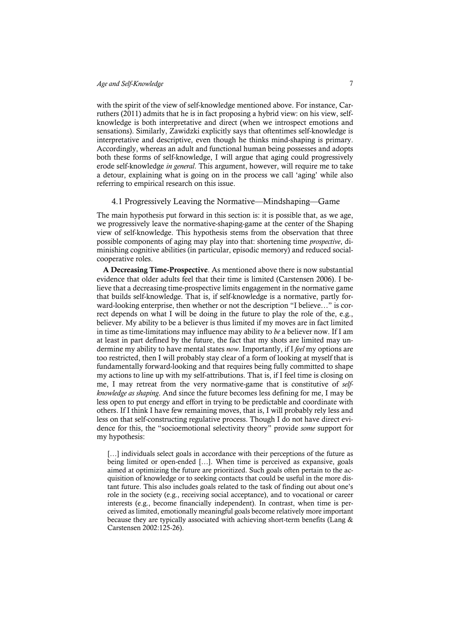with the spirit of the view of self-knowledge mentioned above. For instance, Carruthers (2011) admits that he is in fact proposing a hybrid view: on his view, selfknowledge is both interpretative and direct (when we introspect emotions and sensations). Similarly, Zawidzki explicitly says that oftentimes self-knowledge is interpretative and descriptive, even though he thinks mind-shaping is primary. Accordingly, whereas an adult and functional human being possesses and adopts both these forms of self-knowledge, I will argue that aging could progressively erode self-knowledge *in general*. This argument, however, will require me to take a detour, explaining what is going on in the process we call 'aging' while also referring to empirical research on this issue.

#### 4.1 Progressively Leaving the Normative—Mindshaping—Game

The main hypothesis put forward in this section is: it is possible that, as we age, we progressively leave the normative-shaping-game at the center of the Shaping view of self-knowledge. This hypothesis stems from the observation that three possible components of aging may play into that: shortening time *prospective*, diminishing cognitive abilities (in particular, episodic memory) and reduced socialcooperative roles.

A Decreasing Time-Prospective. As mentioned above there is now substantial evidence that older adults feel that their time is limited (Carstensen 2006). I believe that a decreasing time-prospective limits engagement in the normative game that builds self-knowledge. That is, if self-knowledge is a normative, partly forward-looking enterprise, then whether or not the description "I believe…" is correct depends on what I will be doing in the future to play the role of the, e.g., believer. My ability to be a believer is thus limited if my moves are in fact limited in time as time-limitations may influence may ability to *be* a believer now. If I am at least in part defined by the future, the fact that my shots are limited may undermine my ability to have mental states *now*. Importantly, if I *feel* my options are too restricted, then I will probably stay clear of a form of looking at myself that is fundamentally forward-looking and that requires being fully committed to shape my actions to line up with my self-attributions. That is, if I feel time is closing on me, I may retreat from the very normative-game that is constitutive of *selfknowledge as shaping*. And since the future becomes less defining for me, I may be less open to put energy and effort in trying to be predictable and coordinate with others. If I think I have few remaining moves, that is, I will probably rely less and less on that self-constructing regulative process. Though I do not have direct evidence for this, the "socioemotional selectivity theory" provide *some* support for my hypothesis:

[...] individuals select goals in accordance with their perceptions of the future as being limited or open-ended […]. When time is perceived as expansive, goals aimed at optimizing the future are prioritized. Such goals often pertain to the acquisition of knowledge or to seeking contacts that could be useful in the more distant future. This also includes goals related to the task of finding out about one's role in the society (e.g., receiving social acceptance), and to vocational or career interests (e.g., become financially independent). In contrast, when time is perceived as limited, emotionally meaningful goals become relatively more important because they are typically associated with achieving short-term benefits (Lang & Carstensen 2002:125-26).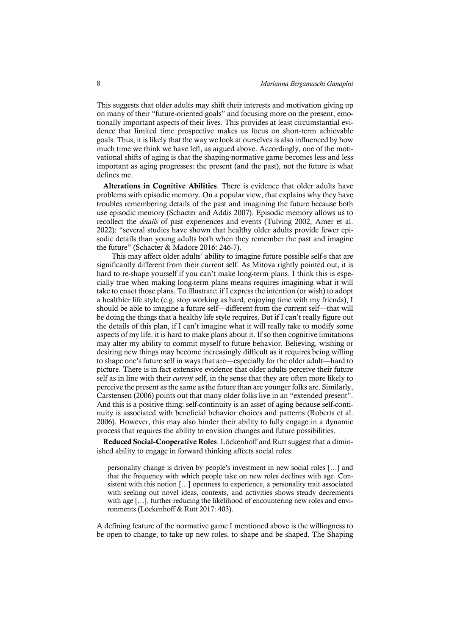This suggests that older adults may shift their interests and motivation giving up on many of their "future-oriented goals" and focusing more on the present, emotionally important aspects of their lives. This provides at least circumstantial evidence that limited time prospective makes us focus on short-term achievable goals. Thus, it is likely that the way we look at ourselves is also influenced by how much time we think we have left, as argued above. Accordingly, one of the motivational shifts of aging is that the shaping-normative game becomes less and less important as aging progresses: the present (and the past), not the future is what defines me.

Alterations in Cognitive Abilities. There is evidence that older adults have problems with episodic memory. On a popular view, that explains why they have troubles remembering details of the past and imagining the future because both use episodic memory (Schacter and Addis 2007). Episodic memory allows us to recollect the *details* of past experiences and events (Tulving 2002, Amer et al. 2022): "several studies have shown that healthy older adults provide fewer episodic details than young adults both when they remember the past and imagine the future" (Schacter & Madore 2016: 246-7).

This may affect older adults' ability to imagine future possible self-s that are significantly different from their current self. As Mitova rightly pointed out, it is hard to re-shape yourself if you can't make long-term plans. I think this is especially true when making long-term plans means requires imagining what it will take to enact those plans. To illustrate: if I express the intention (or wish) to adopt a healthier life style (e.g. stop working as hard, enjoying time with my friends), I should be able to imagine a future self—different from the current self—that will be doing the things that a healthy life style requires. But if I can't really figure out the details of this plan, if I can't imagine what it will really take to modify some aspects of my life, it is hard to make plans about it. If so then cognitive limitations may alter my ability to commit myself to future behavior. Believing, wishing or desiring new things may become increasingly difficult as it requires being willing to shape one's future self in ways that are—especially for the older adult—hard to picture. There is in fact extensive evidence that older adults perceive their future self as in line with their *current* self, in the sense that they are often more likely to perceive the present as the same as the future than are younger folks are. Similarly, Carstensen (2006) points out that many older folks live in an "extended present". And this is a positive thing: self-continuity is an asset of aging because self-continuity is associated with beneficial behavior choices and patterns (Roberts et al. 2006). However, this may also hinder their ability to fully engage in a dynamic process that requires the ability to envision changes and future possibilities.

Reduced Social-Cooperative Roles. Löckenhoff and Rutt suggest that a diminished ability to engage in forward thinking affects social roles:

personality change is driven by people's investment in new social roles […] and that the frequency with which people take on new roles declines with age. Consistent with this notion […] openness to experience, a personality trait associated with seeking out novel ideas, contexts, and activities shows steady decrements with age […], further reducing the likelihood of encountering new roles and environments (Löckenhoff & Rutt 2017: 403).

A defining feature of the normative game I mentioned above is the willingness to be open to change, to take up new roles, to shape and be shaped. The Shaping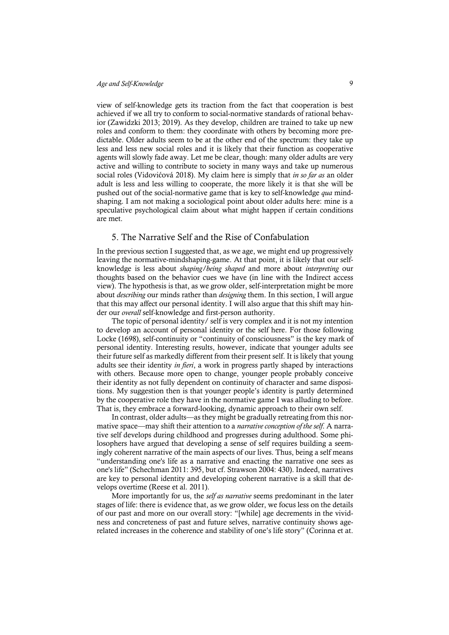view of self-knowledge gets its traction from the fact that cooperation is best achieved if we all try to conform to social-normative standards of rational behavior (Zawidzki 2013; 2019). As they develop, children are trained to take up new roles and conform to them: they coordinate with others by becoming more predictable. Older adults seem to be at the other end of the spectrum: they take up less and less new social roles and it is likely that their function as cooperative agents will slowly fade away. Let me be clear, though: many older adults are very active and willing to contribute to society in many ways and take up numerous social roles (Vidovićová 2018). My claim here is simply that *in so far as* an older adult is less and less willing to cooperate, the more likely it is that she will be pushed out of the social-normative game that is key to self-knowledge *qua* mindshaping. I am not making a sociological point about older adults here: mine is a speculative psychological claim about what might happen if certain conditions are met.

## 5. The Narrative Self and the Rise of Confabulation

In the previous section I suggested that, as we age, we might end up progressively leaving the normative-mindshaping-game. At that point, it is likely that our selfknowledge is less about *shaping/being shaped* and more about *interpreting* our thoughts based on the behavior cues we have (in line with the Indirect access view). The hypothesis is that, as we grow older, self-interpretation might be more about *describing* our minds rather than *designing* them. In this section, I will argue that this may affect our personal identity. I will also argue that this shift may hinder our *overall* self-knowledge and first-person authority.

The topic of personal identity/ self is very complex and it is not my intention to develop an account of personal identity or the self here. For those following Locke (1698), self-continuity or "continuity of consciousness" is the key mark of personal identity. Interesting results, however, indicate that younger adults see their future self as markedly different from their present self. It is likely that young adults see their identity *in fieri*, a work in progress partly shaped by interactions with others. Because more open to change, younger people probably conceive their identity as not fully dependent on continuity of character and same dispositions. My suggestion then is that younger people's identity is partly determined by the cooperative role they have in the normative game I was alluding to before. That is, they embrace a forward-looking, dynamic approach to their own self.

In contrast, older adults—as they might be gradually retreating from this normative space—may shift their attention to a *narrative conception of the self*. A narrative self develops during childhood and progresses during adulthood. Some philosophers have argued that developing a sense of self requires building a seemingly coherent narrative of the main aspects of our lives. Thus, being a self means "understanding one's life as a narrative and enacting the narrative one sees as one's life" (Schechman 2011: 395, but cf. Strawson 2004: 430). Indeed, narratives are key to personal identity and developing coherent narrative is a skill that develops overtime (Reese et al. 2011).

More importantly for us, the *self as narrative* seems predominant in the later stages of life: there is evidence that, as we grow older, we focus less on the details of our past and more on our overall story: "[while] age decrements in the vividness and concreteness of past and future selves, narrative continuity shows agerelated increases in the coherence and stability of one's life story" (Corinna et at.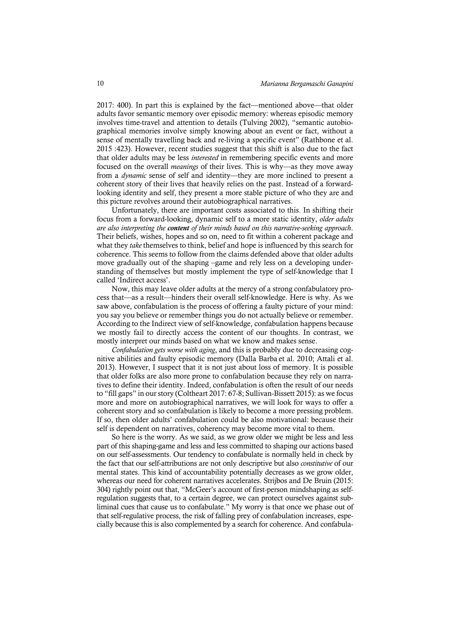2017: 400). In part this is explained by the fact—mentioned above—that older adults favor semantic memory over episodic memory: whereas episodic memory involves time-travel and attention to details (Tulving 2002), "semantic autobiographical memories involve simply knowing about an event or fact, without a sense of mentally travelling back and re-living a specific event" (Rathbone et al. 2015 :423). However, recent studies suggest that this shift is also due to the fact that older adults may be less *interested* in remembering specific events and more focused on the overall *meanings* of their lives. This is why—as they move away from a *dynamic* sense of self and identity—they are more inclined to present a coherent story of their lives that heavily relies on the past. Instead of a forwardlooking identity and self, they present a more stable picture of who they are and this picture revolves around their autobiographical narratives.

Unfortunately, there are important costs associated to this. In shifting their focus from a forward-looking, dynamic self to a more static identity, *older adults are also interpreting the content of their minds based on this narrative-seeking approach*. Their beliefs, wishes, hopes and so on, need to fit within a coherent package and what they *take* themselves to think, belief and hope is influenced by this search for coherence. This seems to follow from the claims defended above that older adults move gradually out of the shaping –game and rely less on a developing understanding of themselves but mostly implement the type of self-knowledge that I called 'Indirect access'.

Now, this may leave older adults at the mercy of a strong confabulatory process that—as a result—hinders their overall self-knowledge. Here is why. As we saw above, confabulation is the process of offering a faulty picture of your mind: you say you believe or remember things you do not actually believe or remember. According to the Indirect view of self-knowledge, confabulation happens because we mostly fail to directly access the content of our thoughts. In contrast, we mostly interpret our minds based on what we know and makes sense.

*Confabulation gets worse with aging*, and this is probably due to decreasing cognitive abilities and faulty episodic memory (Dalla Barba et al. 2010; Attali et al. 2013). However, I suspect that it is not just about loss of memory. It is possible that older folks are also more prone to confabulation because they rely on narratives to define their identity. Indeed, confabulation is often the result of our needs to "fill gaps" in ourstory (Coltheart 2017: 67-8; Sullivan-Bissett 2015): as we focus more and more on autobiographical narratives, we will look for ways to offer a coherent story and so confabulation is likely to become a more pressing problem. If so, then older adults' confabulation could be also motivational: because their self is dependent on narratives, coherency may become more vital to them.

So here is the worry. As we said, as we grow older we might be less and less part of this shaping-game and less and less committed to shaping our actions based on our self-assessments. Our tendency to confabulate is normally held in check by the fact that our self-attributions are not only descriptive but also *constitutive* of our mental states. This kind of accountability potentially decreases as we grow older, whereas our need for coherent narratives accelerates. Strijbos and De Bruin (2015: 304) rightly point out that, "McGeer's account of first-person mindshaping as selfregulation suggests that, to a certain degree, we can protect ourselves against subliminal cues that cause us to confabulate." My worry is that once we phase out of that self-regulative process, the risk of falling prey of confabulation increases, especially because this is also complemented by a search for coherence. And confabula-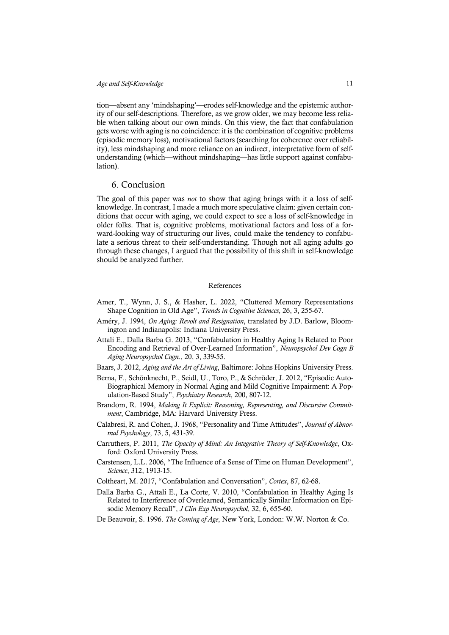tion—absent any 'mindshaping'—erodes self-knowledge and the epistemic authority of our self-descriptions. Therefore, as we grow older, we may become less reliable when talking about our own minds. On this view, the fact that confabulation gets worse with aging is no coincidence: it is the combination of cognitive problems (episodic memory loss), motivational factors (searching for coherence over reliability), less mindshaping and more reliance on an indirect, interpretative form of selfunderstanding (which—without mindshaping—has little support against confabulation).

## 6. Conclusion

The goal of this paper was *not* to show that aging brings with it a loss of selfknowledge. In contrast, I made a much more speculative claim: given certain conditions that occur with aging, we could expect to see a loss of self-knowledge in older folks. That is, cognitive problems, motivational factors and loss of a forward-looking way of structuring our lives, could make the tendency to confabulate a serious threat to their self-understanding. Though not all aging adults go through these changes, I argued that the possibility of this shift in self-knowledge should be analyzed further.

#### References

- Amer, T., Wynn, J. S., & Hasher, L. 2022, "Cluttered Memory Representations Shape Cognition in Old Age", *Trends in Cognitive Sciences*, 26, 3, 255-67.
- Améry, J. 1994, *On Aging: Revolt and Resignation*, translated by J.D. Barlow, Bloomington and Indianapolis: Indiana University Press.
- Attali E., Dalla Barba G. 2013, "Confabulation in Healthy Aging Is Related to Poor Encoding and Retrieval of Over-Learned Information", *Neuropsychol Dev Cogn B Aging Neuropsychol Cogn*., 20, 3, 339-55.
- Baars, J. 2012, *Aging and the Art of Living*, Baltimore: Johns Hopkins University Press.
- Berna, F., Schönknecht, P., Seidl, U., Toro, P., & Schröder, J. 2012, "Episodic Auto-Biographical Memory in Normal Aging and Mild Cognitive Impairment: A Population-Based Study", *Psychiatry Research*, 200, 807-12.
- Brandom, R. 1994, *Making It Explicit: Reasoning, Representing, and Discursive Commitment*, Cambridge, MA: Harvard University Press.
- Calabresi, R. and Cohen, J. 1968, "Personality and Time Attitudes", *Journal of Abnormal Psychology*, 73, 5, 431-39.
- Carruthers, P. 2011, *The Opacity of Mind: An Integrative Theory of Self-Knowledge*, Oxford: Oxford University Press.
- Carstensen, L.L. 2006, "The Influence of a Sense of Time on Human Development", *Science*, 312, 1913-15.
- Coltheart, M. 2017, "Confabulation and Conversation", *Cortex*, 87, 62-68.
- Dalla Barba G., Attali E., La Corte, V. 2010, "Confabulation in Healthy Aging Is Related to Interference of Overlearned, Semantically Similar Information on Episodic Memory Recall", *J Clin Exp Neuropsychol*, 32, 6, 655-60.
- De Beauvoir, S. 1996. *The Coming of Age*, New York, London: W.W. Norton & Co.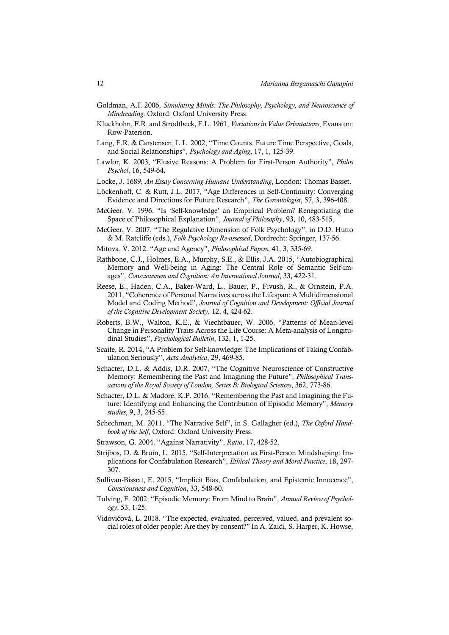- Goldman, A.I. 2006, *Simulating Minds: The Philosophy, Psychology, and Neuroscience of Mindreading*. Oxford: Oxford University Press.
- Kluckhohn, F.R. and Strodtbeck, F.L. 1961, *Variations in Value Orientations*, Evanston: Row-Paterson.
- Lang, F.R. & Carstensen, L.L. 2002, "Time Counts: Future Time Perspective, Goals, and Social Relationships", *Psychology and Aging*, 17, 1, 125-39.
- Lawlor, K. 2003, "Elusive Reasons: A Problem for First-Person Authority", *Philos Psychol*, 16, 549-64.
- Locke, J. 1689, *An Essay Concerning Humane Understanding*, London: Thomas Basset.
- Löckenhoff, C. & Rutt, J.L. 2017, "Age Differences in Self-Continuity: Converging Evidence and Directions for Future Research", *The Gerontologist*, 57, 3, 396-408.
- McGeer, V. 1996. "Is 'Self-knowledge' an Empirical Problem? Renegotiating the Space of Philosophical Explanation", *Journal of Philosophy*, 93, 10, 483-515.
- McGeer, V. 2007. "The Regulative Dimension of Folk Psychology", in D.D. Hutto & M. Ratcliffe (eds.), *Folk Psychology Re-assessed*, Dordrecht: Springer, 137-56.
- Mitova, V. 2012. "Age and Agency", *Philosophical Papers*, 41, 3, 335-69.
- Rathbone, C.J., Holmes, E.A., Murphy, S.E., & Ellis, J.A. 2015, "Autobiographical Memory and Well-being in Aging: The Central Role of Semantic Self-images", *Consciousness and Cognition: An International Journal*, 33, 422-31.
- Reese, E., Haden, C.A., Baker-Ward, L., Bauer, P., Fivush, R., & Ornstein, P.A. 2011, "Coherence of Personal Narratives across the Lifespan: A Multidimensional Model and Coding Method", *Journal of Cognition and Development: Official Journal of the Cognitive Development Society*, 12, 4, 424-62.
- Roberts, B.W., Walton, K.E., & Viechtbauer, W. 2006, "Patterns of Mean-level Change in Personality Traits Across the Life Course: A Meta-analysis of Longitudinal Studies", *Psychological Bulletin*, 132, 1, 1-25.
- Scaife, R. 2014, "A Problem for Self-knowledge: The Implications of Taking Confabulation Seriously", *Acta Analytica*, 29, 469-85.
- Schacter, D.L. & Addis, D.R. 2007, "The Cognitive Neuroscience of Constructive Memory: Remembering the Past and Imagining the Future", *Philosophical Transactions of the Royal Society of London, Series B: Biological Sciences*, 362, 773-86.
- Schacter, D.L. & Madore, K.P. 2016, "Remembering the Past and Imagining the Future: Identifying and Enhancing the Contribution of Episodic Memory", *Memory studies*, 9, 3, 245-55.
- Schechman, M. 2011, "The Narrative Self", in S. Gallagher (ed.), *The Oxford Handbook of the Self*, Oxford: Oxford University Press.
- Strawson, G. 2004. "Against Narrativity", *Ratio*, 17, 428-52.
- Strijbos, D. & Bruin, L. 2015. "Self-Interpretation as First-Person Mindshaping: Implications for Confabulation Research", *Ethical Theory and Moral Practice*, 18, 297- 307.
- Sullivan-Bissett, E. 2015, "Implicit Bias, Confabulation, and Epistemic Innocence", *Consciousness and Cognition*, 33, 548-60.
- Tulving, E. 2002, "Episodic Memory: From Mind to Brain", *Annual Review of Psychology*, 53, 1-25.
- Vidovićová, L. 2018. "The expected, evaluated, perceived, valued, and prevalent social roles of older people: Are they by consent?" In A. Zaidi, S. Harper, K. Howse,